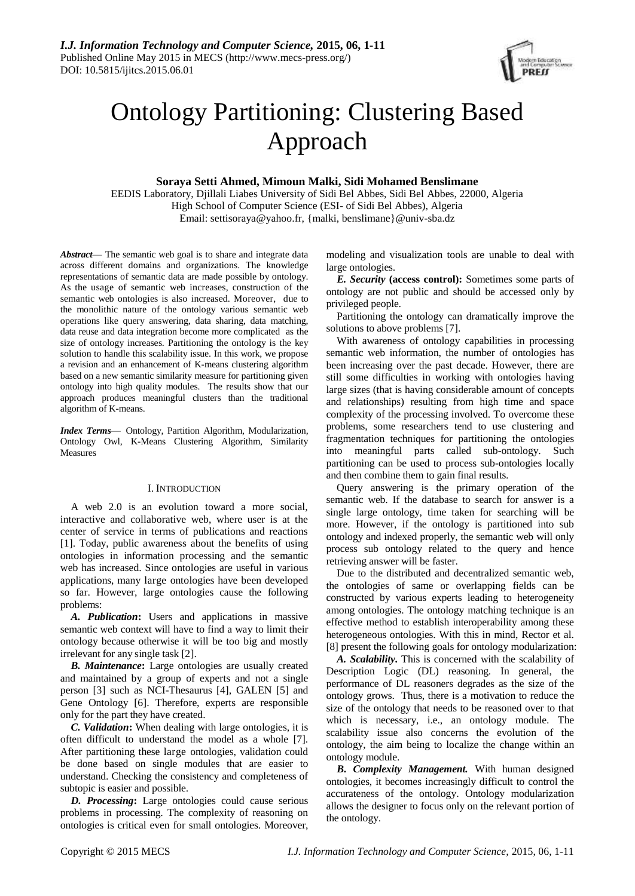

# Ontology Partitioning: Clustering Based Approach

**Soraya Setti Ahmed, Mimoun Malki, Sidi Mohamed Benslimane**

EEDIS Laboratory, Djillali Liabes University of Sidi Bel Abbes, Sidi Bel Abbes, 22000, Algeria High School of Computer Science (ESI- of Sidi Bel Abbes), Algeria Email: settisoraya@yahoo.fr, {malki, benslimane}@univ-sba.dz

*Abstract*— The semantic web goal is to share and integrate data across different domains and organizations. The knowledge representations of semantic data are made possible by ontology. As the usage of semantic web increases, construction of the semantic web ontologies is also increased. Moreover, due to the monolithic nature of the ontology various semantic web operations like query answering, data sharing, data matching, data reuse and data integration become more complicated as the size of ontology increases. Partitioning the ontology is the key solution to handle this scalability issue. In this work, we propose a revision and an enhancement of K-means clustering algorithm based on a new semantic similarity measure for partitioning given ontology into high quality modules. The results show that our approach produces meaningful clusters than the traditional algorithm of K-means.

*Index Terms*— Ontology, Partition Algorithm, Modularization, Ontology Owl, K-Means Clustering Algorithm, Similarity Measures

# I. INTRODUCTION

A web 2.0 is an evolution toward a more social, interactive and collaborative web, where user is at the center of service in terms of publications and reactions [1]. Today, public awareness about the benefits of using ontologies in information processing and the semantic web has increased. Since ontologies are useful in various applications, many large ontologies have been developed so far. However, large ontologies cause the following problems:

*A. Publication***:** Users and applications in massive semantic web context will have to find a way to limit their ontology because otherwise it will be too big and mostly irrelevant for any single task [2].

*B. Maintenance***:** Large ontologies are usually created and maintained by a group of experts and not a single person [3] such as NCI-Thesaurus [4], GALEN [5] and Gene Ontology [6]. Therefore, experts are responsible only for the part they have created.

*C. Validation***:** When dealing with large ontologies, it is often difficult to understand the model as a whole [7]. After partitioning these large ontologies, validation could be done based on single modules that are easier to understand. Checking the consistency and completeness of subtopic is easier and possible.

*D. Processing***:** Large ontologies could cause serious problems in processing. The complexity of reasoning on ontologies is critical even for small ontologies. Moreover,

modeling and visualization tools are unable to deal with large ontologies.

*E. Security* **(access control):** Sometimes some parts of ontology are not public and should be accessed only by privileged people.

Partitioning the ontology can dramatically improve the solutions to above problems [7].

With awareness of ontology capabilities in processing semantic web information, the number of ontologies has been increasing over the past decade. However, there are still some difficulties in working with ontologies having large sizes (that is having considerable amount of concepts and relationships) resulting from high time and space complexity of the processing involved. To overcome these problems, some researchers tend to use clustering and fragmentation techniques for partitioning the ontologies into meaningful parts called sub-ontology. Such partitioning can be used to process sub-ontologies locally and then combine them to gain final results.

Query answering is the primary operation of the semantic web. If the database to search for answer is a single large ontology, time taken for searching will be more. However, if the ontology is partitioned into sub ontology and indexed properly, the semantic web will only process sub ontology related to the query and hence retrieving answer will be faster.

Due to the distributed and decentralized semantic web, the ontologies of same or overlapping fields can be constructed by various experts leading to heterogeneity among ontologies. The ontology matching technique is an effective method to establish interoperability among these heterogeneous ontologies. With this in mind, Rector et al. [8] present the following goals for ontology modularization:

*A. Scalability***.** This is concerned with the scalability of Description Logic (DL) reasoning. In general, the performance of DL reasoners degrades as the size of the ontology grows. Thus, there is a motivation to reduce the size of the ontology that needs to be reasoned over to that which is necessary, i.e., an ontology module. The scalability issue also concerns the evolution of the ontology, the aim being to localize the change within an ontology module.

*B***.** *Complexity Management.* With human designed ontologies, it becomes increasingly difficult to control the accurateness of the ontology. Ontology modularization allows the designer to focus only on the relevant portion of the ontology.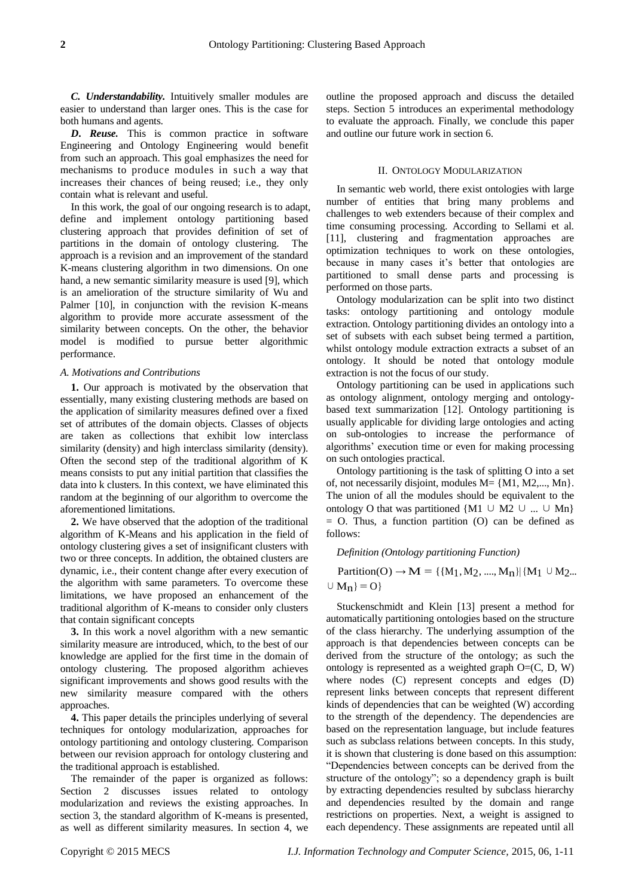*C. Understandability.* Intuitively smaller modules are easier to understand than larger ones. This is the case for both humans and agents.

*D***.** *Reuse.* This is common practice in software Engineering and Ontology Engineering would benefit from such an approach. This goal emphasizes the need for mechanisms to produce modules in such a way that increases their chances of being reused; i.e., they only contain what is relevant and useful.

In this work, the goal of our ongoing research is to adapt, define and implement ontology partitioning based clustering approach that provides definition of set of partitions in the domain of ontology clustering. The approach is a revision and an improvement of the standard K-means clustering algorithm in two dimensions. On one hand, a new semantic similarity measure is used [9], which is an amelioration of the structure similarity of Wu and Palmer [10], in conjunction with the revision K-means algorithm to provide more accurate assessment of the similarity between concepts. On the other, the behavior model is modified to pursue better algorithmic performance.

#### *A. Motivations and Contributions*

**1.** Our approach is motivated by the observation that essentially, many existing clustering methods are based on the application of similarity measures defined over a fixed set of attributes of the domain objects. Classes of objects are taken as collections that exhibit low interclass similarity (density) and high interclass similarity (density). Often the second step of the traditional algorithm of K means consists to put any initial partition that classifies the data into k clusters. In this context, we have eliminated this random at the beginning of our algorithm to overcome the aforementioned limitations.

**2.** We have observed that the adoption of the traditional algorithm of K-Means and his application in the field of ontology clustering gives a set of insignificant clusters with two or three concepts. In addition, the obtained clusters are dynamic, i.e., their content change after every execution of the algorithm with same parameters. To overcome these limitations, we have proposed an enhancement of the traditional algorithm of K-means to consider only clusters that contain significant concepts

**3.** In this work a novel algorithm with a new semantic similarity measure are introduced, which, to the best of our knowledge are applied for the first time in the domain of ontology clustering. The proposed algorithm achieves significant improvements and shows good results with the new similarity measure compared with the others approaches.

**4.** This paper details the principles underlying of several techniques for ontology modularization, approaches for ontology partitioning and ontology clustering. Comparison between our revision approach for ontology clustering and the traditional approach is established.

The remainder of the paper is organized as follows: Section 2 discusses issues related to ontology modularization and reviews the existing approaches. In section 3, the standard algorithm of K-means is presented, as well as different similarity measures. In section 4, we outline the proposed approach and discuss the detailed steps. Section 5 introduces an experimental methodology to evaluate the approach. Finally, we conclude this paper and outline our future work in section 6.

# II. ONTOLOGY MODULARIZATION

In semantic web world, there exist ontologies with large number of entities that bring many problems and challenges to web extenders because of their complex and time consuming processing. According to Sellami et al. [11], clustering and fragmentation approaches are optimization techniques to work on these ontologies, because in many cases it's better that ontologies are partitioned to small dense parts and processing is performed on those parts.

Ontology modularization can be split into two distinct tasks: ontology partitioning and ontology module extraction. Ontology partitioning divides an ontology into a set of subsets with each subset being termed a partition, whilst ontology module extraction extracts a subset of an ontology. It should be noted that ontology module extraction is not the focus of our study.

Ontology partitioning can be used in applications such as ontology alignment, ontology merging and ontologybased text summarization [12]. Ontology partitioning is usually applicable for dividing large ontologies and acting on sub-ontologies to increase the performance of algorithms' execution time or even for making processing on such ontologies practical.

Ontology partitioning is the task of splitting O into a set of, not necessarily disjoint, modules M= {M1, M2,..., Mn}. The union of all the modules should be equivalent to the ontology O that was partitioned {M1 ∪ M2 ∪ ... ∪ Mn}  $=$  O. Thus, a function partition (O) can be defined as follows:

*Definition (Ontology partitioning Function)*

Partition(O)  $\rightarrow M = \{ {M_1, M_2, ..., M_n} \mid {M_1 \cup M_2...}$  $\cup$  M<sub>n</sub>} = O}

Stuckenschmidt and Klein [13] present a method for automatically partitioning ontologies based on the structure of the class hierarchy. The underlying assumption of the approach is that dependencies between concepts can be derived from the structure of the ontology; as such the ontology is represented as a weighted graph  $O=(C, D, W)$ where nodes (C) represent concepts and edges (D) represent links between concepts that represent different kinds of dependencies that can be weighted (W) according to the strength of the dependency. The dependencies are based on the representation language, but include features such as subclass relations between concepts. In this study, it is shown that clustering is done based on this assumption: "Dependencies between concepts can be derived from the structure of the ontology"; so a dependency graph is built by extracting dependencies resulted by subclass hierarchy and dependencies resulted by the domain and range restrictions on properties. Next, a weight is assigned to each dependency. These assignments are repeated until all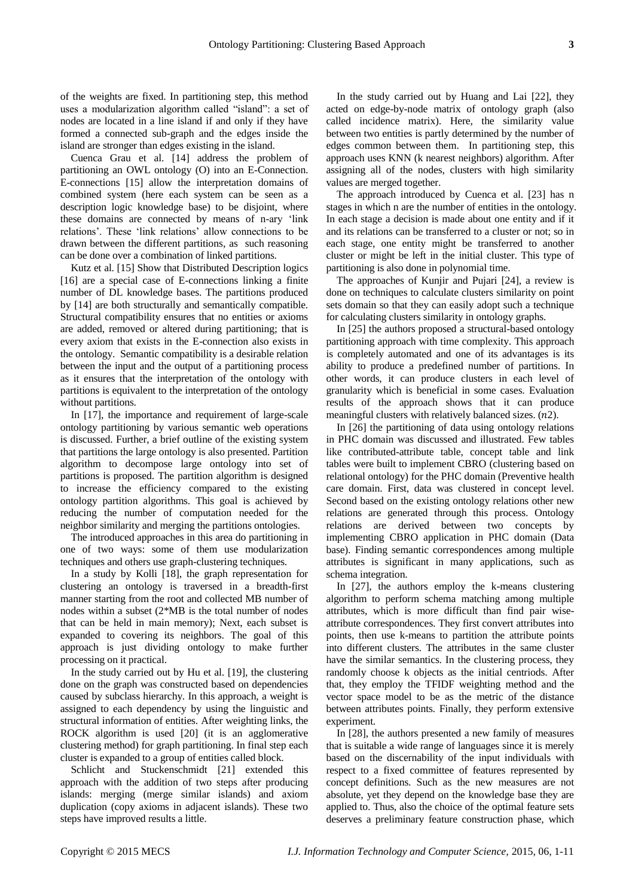of the weights are fixed. In partitioning step, this method uses a modularization algorithm called "island": a set of nodes are located in a line island if and only if they have formed a connected sub-graph and the edges inside the island are stronger than edges existing in the island.

Cuenca Grau et al. [14] address the problem of partitioning an OWL ontology (O) into an E-Connection. E-connections [15] allow the interpretation domains of combined system (here each system can be seen as a description logic knowledge base) to be disjoint, where these domains are connected by means of n-ary 'link relations'. These 'link relations' allow connections to be drawn between the different partitions, as such reasoning can be done over a combination of linked partitions.

Kutz et al. [15] Show that Distributed Description logics [16] are a special case of E-connections linking a finite number of DL knowledge bases. The partitions produced by [14] are both structurally and semantically compatible. Structural compatibility ensures that no entities or axioms are added, removed or altered during partitioning; that is every axiom that exists in the E-connection also exists in the ontology. Semantic compatibility is a desirable relation between the input and the output of a partitioning process as it ensures that the interpretation of the ontology with partitions is equivalent to the interpretation of the ontology without partitions.

In [17], the importance and requirement of large-scale ontology partitioning by various semantic web operations is discussed. Further, a brief outline of the existing system that partitions the large ontology is also presented. Partition algorithm to decompose large ontology into set of partitions is proposed. The partition algorithm is designed to increase the efficiency compared to the existing ontology partition algorithms. This goal is achieved by reducing the number of computation needed for the neighbor similarity and merging the partitions ontologies.

The introduced approaches in this area do partitioning in one of two ways: some of them use modularization techniques and others use graph-clustering techniques.

In a study by Kolli [18], the graph representation for clustering an ontology is traversed in a breadth-first manner starting from the root and collected MB number of nodes within a subset (2\*MB is the total number of nodes that can be held in main memory); Next, each subset is expanded to covering its neighbors. The goal of this approach is just dividing ontology to make further processing on it practical.

In the study carried out by Hu et al. [19], the clustering done on the graph was constructed based on dependencies caused by subclass hierarchy. In this approach, a weight is assigned to each dependency by using the linguistic and structural information of entities. After weighting links, the ROCK algorithm is used [20] (it is an agglomerative clustering method) for graph partitioning. In final step each cluster is expanded to a group of entities called block.

Schlicht and Stuckenschmidt [21] extended this approach with the addition of two steps after producing islands: merging (merge similar islands) and axiom duplication (copy axioms in adjacent islands). These two steps have improved results a little.

In the study carried out by Huang and Lai [22], they acted on edge-by-node matrix of ontology graph (also called incidence matrix). Here, the similarity value between two entities is partly determined by the number of edges common between them. In partitioning step, this approach uses KNN (k nearest neighbors) algorithm. After assigning all of the nodes, clusters with high similarity values are merged together.

The approach introduced by Cuenca et al. [23] has n stages in which n are the number of entities in the ontology. In each stage a decision is made about one entity and if it and its relations can be transferred to a cluster or not; so in each stage, one entity might be transferred to another cluster or might be left in the initial cluster. This type of partitioning is also done in polynomial time.

The approaches of Kunjir and Pujari [24], a review is done on techniques to calculate clusters similarity on point sets domain so that they can easily adopt such a technique for calculating clusters similarity in ontology graphs.

In [25] the authors proposed a structural-based ontology partitioning approach with time complexity. This approach is completely automated and one of its advantages is its ability to produce a predefined number of partitions. In other words, it can produce clusters in each level of granularity which is beneficial in some cases. Evaluation results of the approach shows that it can produce meaningful clusters with relatively balanced sizes.  $(n2)$ .

In [26] the partitioning of data using ontology relations in PHC domain was discussed and illustrated. Few tables like contributed-attribute table, concept table and link tables were built to implement CBRO (clustering based on relational ontology) for the PHC domain (Preventive health care domain. First, data was clustered in concept level. Second based on the existing ontology relations other new relations are generated through this process. Ontology relations are derived between two concepts by implementing CBRO application in PHC domain (Data base). Finding semantic correspondences among multiple attributes is significant in many applications, such as schema integration.

In [27], the authors employ the k-means clustering algorithm to perform schema matching among multiple attributes, which is more difficult than find pair wiseattribute correspondences. They first convert attributes into points, then use k-means to partition the attribute points into different clusters. The attributes in the same cluster have the similar semantics. In the clustering process, they randomly choose k objects as the initial centriods. After that, they employ the TFIDF weighting method and the vector space model to be as the metric of the distance between attributes points. Finally, they perform extensive experiment.

In [28], the authors presented a new family of measures that is suitable a wide range of languages since it is merely based on the discernability of the input individuals with respect to a fixed committee of features represented by concept definitions. Such as the new measures are not absolute, yet they depend on the knowledge base they are applied to. Thus, also the choice of the optimal feature sets deserves a preliminary feature construction phase, which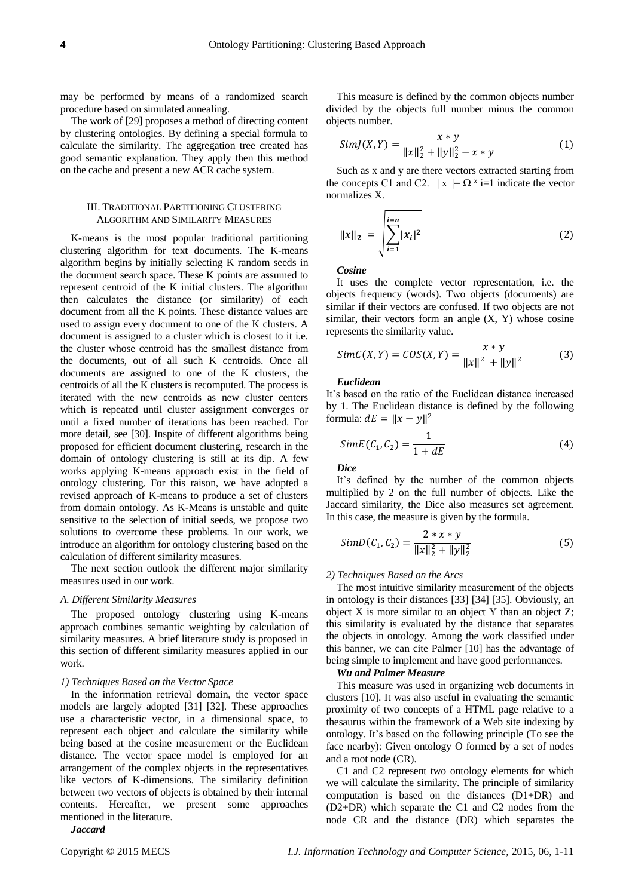may be performed by means of a randomized search procedure based on simulated annealing.

The work of [29] proposes a method of directing content by clustering ontologies. By defining a special formula to calculate the similarity. The aggregation tree created has good semantic explanation. They apply then this method on the cache and present a new ACR cache system.

# III. TRADITIONAL PARTITIONING CLUSTERING ALGORITHM AND SIMILARITY MEASURES

K-means is the most popular traditional partitioning clustering algorithm for text documents. The K-means algorithm begins by initially selecting K random seeds in the document search space. These K points are assumed to represent centroid of the K initial clusters. The algorithm then calculates the distance (or similarity) of each document from all the K points. These distance values are used to assign every document to one of the K clusters. A document is assigned to a cluster which is closest to it i.e. the cluster whose centroid has the smallest distance from the documents, out of all such K centroids. Once all documents are assigned to one of the K clusters, the centroids of all the K clusters is recomputed. The process is iterated with the new centroids as new cluster centers which is repeated until cluster assignment converges or until a fixed number of iterations has been reached. For more detail, see [30]. Inspite of different algorithms being proposed for efficient document clustering, research in the domain of ontology clustering is still at its dip. A few works applying K-means approach exist in the field of ontology clustering. For this raison, we have adopted a revised approach of K-means to produce a set of clusters from domain ontology. As K-Means is unstable and quite sensitive to the selection of initial seeds, we propose two solutions to overcome these problems. In our work, we introduce an algorithm for ontology clustering based on the calculation of different similarity measures.

The next section outlook the different major similarity measures used in our work.

# *A. Different Similarity Measures*

The proposed ontology clustering using K-means approach combines semantic weighting by calculation of similarity measures. A brief literature study is proposed in this section of different similarity measures applied in our work.

#### *1) Techniques Based on the Vector Space*

In the information retrieval domain, the vector space models are largely adopted [31] [32]. These approaches use a characteristic vector, in a dimensional space, to represent each object and calculate the similarity while being based at the cosine measurement or the Euclidean distance. The vector space model is employed for an arrangement of the complex objects in the representatives like vectors of K-dimensions. The similarity definition between two vectors of objects is obtained by their internal contents. Hereafter, we present some approaches mentioned in the literature.

*Jaccard*

This measure is defined by the common objects number divided by the objects full number minus the common objects number.

$$
SimJ(X,Y) = \frac{x * y}{\|x\|_2^2 + \|y\|_2^2 - x * y}
$$
 (1)

Such as x and y are there vectors extracted starting from the concepts C1 and C2.  $||x|| = \Omega^x$  i=1 indicate the vector normalizes X.

$$
||x||_2 = \sqrt{\sum_{i=1}^{i=n} |x_i|^2}
$$
 (2)

*Cosine*

It uses the complete vector representation, i.e. the objects frequency (words). Two objects (documents) are similar if their vectors are confused. If two objects are not similar, their vectors form an angle  $(X, Y)$  whose cosine represents the similarity value.

$$
SimC(X, Y) = COS(X, Y) = \frac{x * y}{\|x\|^2 + \|y\|^2}
$$
 (3)

# *Euclidean*

It's based on the ratio of the Euclidean distance increased by 1. The Euclidean distance is defined by the following formula:  $dE = ||x - y||^2$ 

$$
SimE(C_1, C_2) = \frac{1}{1 + dE} \tag{4}
$$

*Dice*

It's defined by the number of the common objects multiplied by 2 on the full number of objects. Like the Jaccard similarity, the Dice also measures set agreement. In this case, the measure is given by the formula.

$$
SimD(C_1, C_2) = \frac{2 * x * y}{\|x\|_2^2 + \|y\|_2^2}
$$
\n(5)

## *2) Techniques Based on the Arcs*

The most intuitive similarity measurement of the objects in ontology is their distances [33] [34] [35]. Obviously, an object X is more similar to an object Y than an object Z; this similarity is evaluated by the distance that separates the objects in ontology. Among the work classified under this banner, we can cite Palmer [10] has the advantage of being simple to implement and have good performances.

# *Wu and Palmer Measure*

This measure was used in organizing web documents in clusters [10]. It was also useful in evaluating the semantic proximity of two concepts of a HTML page relative to a thesaurus within the framework of a Web site indexing by ontology. It's based on the following principle (To see the face nearby): Given ontology O formed by a set of nodes and a root node (CR).

C1 and C2 represent two ontology elements for which we will calculate the similarity. The principle of similarity computation is based on the distances (D1+DR) and (D2+DR) which separate the C1 and C2 nodes from the node CR and the distance (DR) which separates the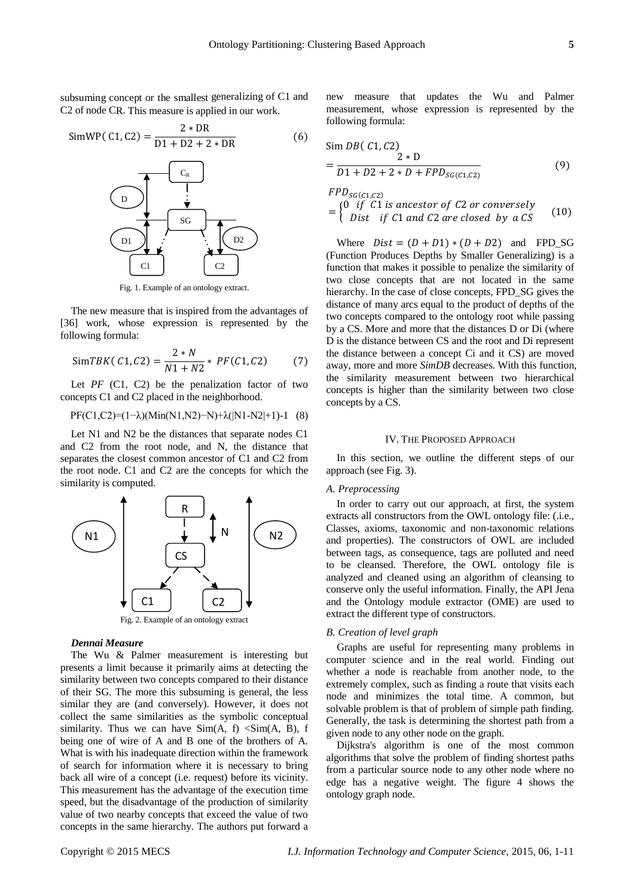subsuming concept or the smallest generalizing of C1 and C2 of node CR. This measure is applied in our work.

$$
SimWP(C1, C2) = \frac{2 * DR}{D1 + D2 + 2 * DR}
$$
 (6)



Fig. 1. Example of an ontology extract.

The new measure that is inspired from the advantages of [36] work, whose expression is represented by the following formula:

$$
SimTBK(C1, C2) = \frac{2*N}{N1 + N2} * PF(C1, C2)
$$
 (7)

Let  $PF$  (C1, C2) be the penalization factor of two concepts C1 and C2 placed in the neighborhood.

$$
PF(C1, C2)=(1-\lambda)(Min(N1, N2)-N)+\lambda(N1-N2|+1)-1
$$
 (8)

Let N1 and N2 be the distances that separate nodes C1 and C2 from the root node, and N, the distance that separates the closest common ancestor of C1 and C2 from the root node. C1 and C2 are the concepts for which the similarity is computed.



# *Dennai Measure*

The Wu & Palmer measurement is interesting but presents a limit because it primarily aims at detecting the similarity between two concepts compared to their distance of their SG. The more this subsuming is general, the less similar they are (and conversely). However, it does not collect the same similarities as the symbolic conceptual similarity. Thus we can have  $Sim(A, f) < Sim(A, B), f$ being one of wire of A and B one of the brothers of A. What is with his inadequate direction within the framework of search for information where it is necessary to bring back all wire of a concept (i.e. request) before its vicinity. This measurement has the advantage of the execution time speed, but the disadvantage of the production of similarity value of two nearby concepts that exceed the value of two concepts in the same hierarchy. The authors put forward a

new measure that updates the Wu and Palmer measurement, whose expression is represented by the following formula:

$$
\begin{aligned} &\text{Sim } DB(C1, C2) \\ &= \frac{2 \times D}{D1 + D2 + 2 \times D + FPD_{SG(C1, C2)}} \end{aligned} \tag{9}
$$

$$
FPD_{SG(C1,C2)}
$$
  
= 
$$
\begin{cases} 0 & \text{if } C1 \text{ is ancestor of } C2 \text{ or conversely} \\ Dist & \text{if } C1 \text{ and } C2 \text{ are closed by a } CS \end{cases}
$$
 (10)

Where  $Dist = (D + D1) * (D + D2)$  and FPD\_SG (Function Produces Depths by Smaller Generalizing) is a function that makes it possible to penalize the similarity of two close concepts that are not located in the same hierarchy. In the case of close concepts, FPD\_SG gives the distance of many arcs equal to the product of depths of the two concepts compared to the ontology root while passing by a CS. More and more that the distances D or Di (where D is the distance between CS and the root and Di represent the distance between a concept Ci and it CS) are moved away, more and more *SimDB* decreases. With this function, the similarity measurement between two hierarchical concepts is higher than the similarity between two close concepts by a CS.

# IV. THE PROPOSED APPROACH

In this section, we outline the different steps of our approach (see Fig. 3).

# *A. Preprocessing*

In order to carry out our approach, at first, the system extracts all constructors from the OWL ontology file: (.i.e., Classes, axioms, taxonomic and non-taxonomic relations and properties). The constructors of OWL are included between tags, as consequence, tags are polluted and need to be cleansed. Therefore, the OWL ontology file is analyzed and cleaned using an algorithm of cleansing to conserve only the useful information. Finally, the API Jena and the Ontology module extractor (OME) are used to extract the different type of constructors.

# *B. Creation of level graph*

[Graphs](http://www.cprogramming.com/tutorial/computersciencetheory/graphtheory.html) are useful for representing many problems in computer science and in the real world. Finding out whether a node is reachable from another node, to the extremely complex, such as finding a route that visits each node and minimizes the total time. A common, but solvable problem is that of problem of simple path finding. Generally, the task is determining the shortest path from a given node to any other node on the graph.

Dijkstra's algorithm is one of the most common algorithms that solve the problem of finding shortest paths from a particular source node to any other node where no edge has a negative weight. The figure 4 shows the ontology graph node.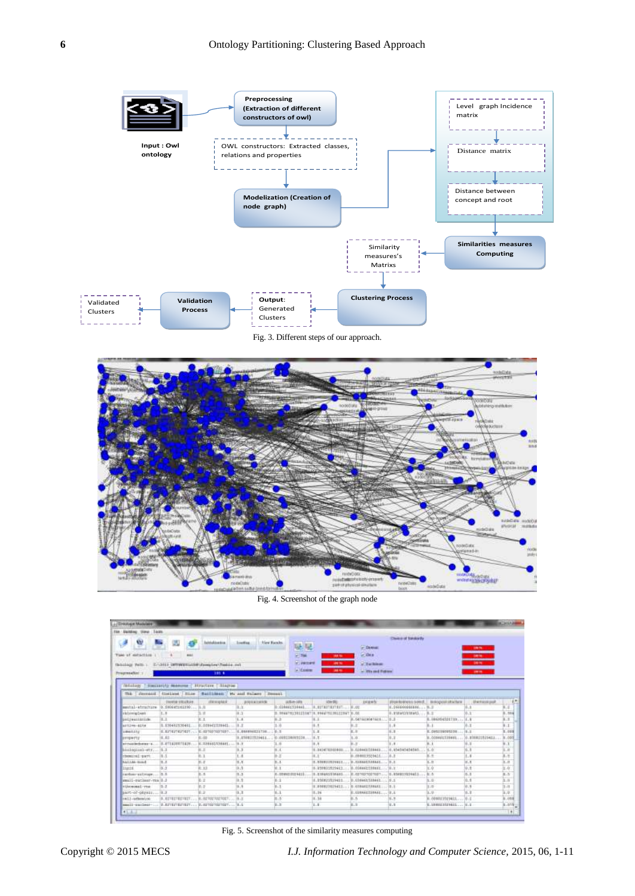

Fig. 3. Different steps of our approach.



Fig. 4. Screenshot of the graph node

| J. Drawing a Marialane                                                    |                                                   |                    |                                     |                                       |                                             |                                  |                                                                             |                                   |                                     | <b>ACANZA</b>                                                                                                                                                                                                                                                                                                                                                                                                                                                                       |
|---------------------------------------------------------------------------|---------------------------------------------------|--------------------|-------------------------------------|---------------------------------------|---------------------------------------------|----------------------------------|-----------------------------------------------------------------------------|-----------------------------------|-------------------------------------|-------------------------------------------------------------------------------------------------------------------------------------------------------------------------------------------------------------------------------------------------------------------------------------------------------------------------------------------------------------------------------------------------------------------------------------------------------------------------------------|
| Tage<br><b>ENGINE TIPS:</b><br>Film:                                      |                                                   |                    |                                     |                                       |                                             |                                  |                                                                             |                                   |                                     |                                                                                                                                                                                                                                                                                                                                                                                                                                                                                     |
| w<br>Time of extanting                                                    | 660                                               | Ashtakinesida      | <b>Joseffree</b><br>Nied Humbs      | 疑疑                                    |                                             | <b>Critician</b><br><b>GTORS</b> | Chairm of Strikledy                                                         |                                   | <b>SHERE</b>                        |                                                                                                                                                                                                                                                                                                                                                                                                                                                                                     |
| Skinling Path : Endith commentation Complex Testing and<br>Programation 1 |                                                   | 185.6              |                                     | <b>PERMI</b><br>V. Jacord<br>G Costra | 38.9<br>$-1$<br>28.9                        | Citachiens<br>in 100 and Patron  |                                                                             |                                   | <b>DOM: N</b><br><b>DOM</b><br>1981 |                                                                                                                                                                                                                                                                                                                                                                                                                                                                                     |
|                                                                           |                                                   |                    |                                     |                                       |                                             |                                  |                                                                             |                                   |                                     |                                                                                                                                                                                                                                                                                                                                                                                                                                                                                     |
| <b>TEASELEST</b>                                                          | Hastanita Monume C.Hrustene C.Hagnas              |                    |                                     |                                       |                                             |                                  |                                                                             |                                   |                                     |                                                                                                                                                                                                                                                                                                                                                                                                                                                                                     |
|                                                                           | The Convention Continue Hillse                    |                    | Satilities: We see Falsey   Beneath |                                       |                                             |                                  |                                                                             |                                   |                                     |                                                                                                                                                                                                                                                                                                                                                                                                                                                                                     |
| sental-atmoture 0.000445141790 ILIL                                       | <b><i>UNKING STECHANI</i></b>                     | <b>ITALIENSKIE</b> | <b>ANGEMENT</b><br>10.3             | $48.6 - 10.9$<br>8.039441339441       | izardii.<br>A. ESTATTATURIT.                | poperty<br>1.100                 | Wrom to private is been if  In a logical interfaces<br>11.366666666664 11.3 |                                   | <b>University</b> and               | XХ                                                                                                                                                                                                                                                                                                                                                                                                                                                                                  |
| rkirroplast                                                               | 1.8                                               | 3.15               | la ca                               |                                       | 3. 98447913912114718. 99447513912194731.00. |                                  | 10. Bridge AS In full at AS                                                 | $31.3^{\circ}$                    |                                     | $\frac{1}{2} \left( \frac{1}{2} \right) \left( \frac{1}{2} \right) \left( \frac{1}{2} \right) \left( \frac{1}{2} \right) \left( \frac{1}{2} \right) \left( \frac{1}{2} \right) \left( \frac{1}{2} \right) \left( \frac{1}{2} \right) \left( \frac{1}{2} \right) \left( \frac{1}{2} \right) \left( \frac{1}{2} \right) \left( \frac{1}{2} \right) \left( \frac{1}{2} \right) \left( \frac{1}{2} \right) \left( \frac{1}{2} \right) \left( \frac{1}{2} \right) \left( \frac$<br>3.516 |
| polymanizink                                                              | Ta Ca                                             | ※ 1                | 1.1                                 | $16 - 21$                             | 8.1                                         | <b>B. ISETALESCATALES</b>        | 16.18                                                                       | R.086F64501T19 1. E.B             |                                     | 1.1                                                                                                                                                                                                                                                                                                                                                                                                                                                                                 |
| artive-41%                                                                | 15.050462550462                                   | B: OTH-EESTHALL    | 10.3                                | 18.000                                | 8.8                                         | 9.3                              | 1.8                                                                         | 8.1                               |                                     | --<br>1.1                                                                                                                                                                                                                                                                                                                                                                                                                                                                           |
| <b>LAMAGELIN</b>                                                          | E.E27627627627  10.027027027027                   |                    | E: board tremma music               | 25.20                                 | 1.1                                         | 三三                               | 16.8                                                                        | R. OVERSEDUCED  IL. 2             |                                     | 3.000                                                                                                                                                                                                                                                                                                                                                                                                                                                                               |
| property                                                                  | 18.85                                             | 8.00               | 9.8598222411                        | 49-140322-0093224                     | 8.3                                         | 1.00                             | $10 - 1$                                                                    | N. 039461229461 00. 836821825411. |                                     | 8.003                                                                                                                                                                                                                                                                                                                                                                                                                                                                               |
| erroriencers.                                                             | 10.071410071419                                   | HT_ISSMANS.TVRAUEL | 19.3                                | 1.8                                   | 18.8                                        | $8.3^{+}$                        | 18.18                                                                       | 8.1                               | 0.1                                 | 8.1                                                                                                                                                                                                                                                                                                                                                                                                                                                                                 |
| boolegiss)-str.                                                           | 13.3                                              | 近正                 | ш                                   | sп                                    | 19. BAJ476262400                            | IL OTRACIONALE                   | IE, 854545454545.                                                           | SG.                               | šэ                                  | $+53$<br>3.8                                                                                                                                                                                                                                                                                                                                                                                                                                                                        |
| chesting part.                                                            | 18.5                                              | 11.1               | $L =$                               | 38.2                                  | 18.1                                        | B.09801952941E                   | 38.B                                                                        | 1.1                               | 1.1                                 | 3.5                                                                                                                                                                                                                                                                                                                                                                                                                                                                                 |
| <b>BALLAN-HUMA</b>                                                        | 10.2.                                             | 加工                 | 16.5                                | 0.1                                   |                                             | 1.00001309811 0.03844138461 0.1  |                                                                             | 3.8                               | 14.8                                | ---<br>3.8                                                                                                                                                                                                                                                                                                                                                                                                                                                                          |
| <b>Sternt</b>                                                             | 8.9                                               | $2 - 13$           | 19.3                                | 6.1                                   | II. 210601405423                            | B. OGRANI-STRACK                 | $-16.7$                                                                     | lició                             | 9.8                                 | $16 - 60$                                                                                                                                                                                                                                                                                                                                                                                                                                                                           |
| carbon-astronomy                                                          | $-10.8$                                           | 気息                 | 11.3                                | 31.00 WHY 010 9411                    | 19.819451516451                             | 30.00100310031 0.856813559413    |                                                                             | <b>BUS</b>                        | $35 - 3$                            | エル                                                                                                                                                                                                                                                                                                                                                                                                                                                                                  |
| email -paciess-you il J                                                   |                                                   | <b>COLOR</b>       | 6042<br>19.3                        | 0.1                                   | 0.050823529411                              | 9.035463.538463 25.5             |                                                                             | ---<br>3.9                        | <b>1070</b><br>XL 6                 | <b>Long Co</b><br>3.5                                                                                                                                                                                                                                                                                                                                                                                                                                                               |
| ethnessal-res                                                             | 12.7                                              | lo, p              | 14.8                                | $E - E$                               | (8) BREW27409411 (0.038461538461.           |                                  | $-12.1$                                                                     | 11:21                             | 10. N                               | <b>Contractor</b><br>11.11                                                                                                                                                                                                                                                                                                                                                                                                                                                          |
| BATC-of-plusia (8.2)                                                      |                                                   | $30 - 2$           | 13.3                                | $1 - 1$                               | 12.36<br><b>STARTING</b>                    | 21. CORANTOSANA  12. L           |                                                                             | 1.18                              | 9.7                                 | 31.01                                                                                                                                                                                                                                                                                                                                                                                                                                                                               |
| on 1.1-arthurston                                                         | 18. AUTRETRETRET 36. 027/027/027/027              |                    | 19.2                                | $11 - 5$                              | 10.38                                       | 8.5.                             | 14.9                                                                        | H: 00980335E941LL                 | 38.2                                | 8.096                                                                                                                                                                                                                                                                                                                                                                                                                                                                               |
|                                                                           | ABAIL-ENGLASH-  2.EZTEZTEZTEZT 0.02702702702T N.L |                    |                                     | 2.2                                   | 1.1                                         | 8.3                              | li.i                                                                        | U. UNIMEDISTANT  U. L.            |                                     | 1.015                                                                                                                                                                                                                                                                                                                                                                                                                                                                               |
| <b>ALLA</b>                                                               |                                                   |                    |                                     |                                       |                                             |                                  |                                                                             |                                   |                                     | e                                                                                                                                                                                                                                                                                                                                                                                                                                                                                   |

Fig. 5. Screenshot of the similarity measures computing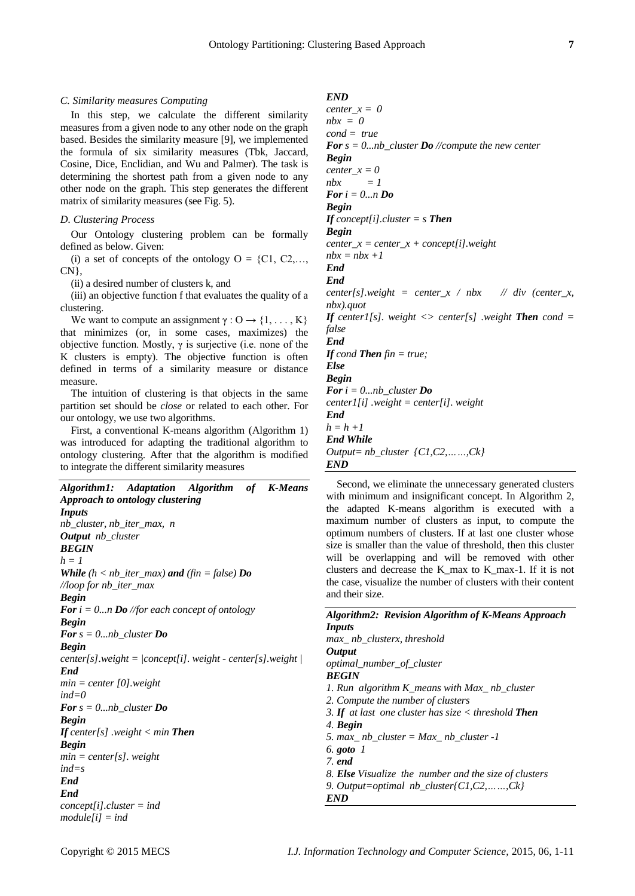# *C. Similarity measures Computing*

In this step, we calculate the different similarity measures from a given node to any other node on the graph based. Besides the similarity measure [9], we implemented the formula of six similarity measures (Tbk, Jaccard, Cosine, Dice, Enclidian, and Wu and Palmer). The task is determining the shortest path from a given node to any other node on the graph. This step generates the different matrix of similarity measures (see Fig. 5).

#### *D. Clustering Process*

Our Ontology clustering problem can be formally defined as below. Given:

(i) a set of concepts of the ontology  $O = \{C1, C2, \ldots, C\}$ CN},

(ii) a desired number of clusters k, and

(iii) an objective function f that evaluates the quality of a clustering.

We want to compute an assignment  $\gamma : O \rightarrow \{1, \ldots, K\}$ that minimizes (or, in some cases, maximizes) the objective function. Mostly,  $\gamma$  is surjective (i.e. none of the K clusters is empty). The objective function is often defined in terms of a similarity measure or distance measure.

The intuition of clustering is that objects in the same partition set should be *close* or related to each other. For our ontology, we use two algorithms.

First, a conventional K-means algorithm (Algorithm 1) was introduced for adapting the traditional algorithm to ontology clustering. After that the algorithm is modified to integrate the different similarity measures

| Adaptation Algorithm of K-Means<br>Algorithm1:                         |
|------------------------------------------------------------------------|
| Approach to ontology clustering                                        |
| Inputs                                                                 |
| nb cluster, nb iter max, n                                             |
| <b>Output</b> nb cluster                                               |
| <b>BEGIN</b>                                                           |
| $h=1$                                                                  |
| <b>While</b> $(h < nb_$ iter_max) <b>and</b> $(fin = false)$ <b>Do</b> |
| $\Lambda$ loop for nb iter max                                         |
| <b>Begin</b>                                                           |
| <b>For</b> $i = 0n$ <b>Do</b> //for each concept of ontology           |
| <b>Begin</b>                                                           |
| <b>For</b> $s = 0nb$ cluster <b>Do</b>                                 |
| <b>Begin</b>                                                           |
| $center[s].weight = /concept[i].weight - center[s].weight /$           |
| End                                                                    |
| $min = center[0].weight$                                               |
| $ind=0$                                                                |
| <b>For</b> $s = 0nb\_cluster$ <b>Do</b>                                |
| <b>Begin</b>                                                           |
| <b>If</b> center[s] weight $\lt$ min <b>Then</b>                       |
| <b>Begin</b>                                                           |
| $min = center[s]$ . weight                                             |
| $ind=s$                                                                |
| End                                                                    |
| End                                                                    |
| $concept[i].cluster = ind$                                             |
| $module[i] = ind$                                                      |

# *END*

*center\_x = 0 nbx = 0 cond = true For s = 0...nb\_cluster Do //compute the new center Begin center*  $x = 0$  $nbx = 1$ *For i = 0...n Do Begin If concept[i].cluster = s Then Begin center\_x = center\_x + concept[i].weight*  $nbx = nbx +1$ *End End*  $center[s].weight = center_x / nbx$  // div (center x, *nbx).quot <i>If center1[s].* weight  $\leq$  *center[s] .weight Then cond = false End If cond Then fin = true; Else Begin For i = 0...nb\_cluster Do center1[i] .weight = center[i]. weight End h = h +1 End While Output= nb\_cluster {C1,C2,……,Ck}*

*END* Second, we eliminate the unnecessary generated clusters

with minimum and insignificant concept. In Algorithm 2, the adapted K-means algorithm is executed with a maximum number of clusters as input, to compute the optimum numbers of clusters. If at last one cluster whose size is smaller than the value of threshold, then this cluster will be overlapping and will be removed with other clusters and decrease the K\_max to K\_max-1. If it is not the case, visualize the number of clusters with their content and their size.

| <b>Algorithm2: Revision Algorithm of K-Means Approach</b>     |
|---------------------------------------------------------------|
| <i>Inputs</i>                                                 |
| max nb clusterx, threshold                                    |
| <b>Output</b>                                                 |
| optimal_number_of_cluster                                     |
| <b>BEGIN</b>                                                  |
| 1. Run algorithm $K$ means with $Max$ nb cluster              |
| 2. Compute the number of clusters                             |
| 3. If at last one cluster has size $\lt$ threshold Then       |
| 4. Begin                                                      |
| 5. max nb cluster = Max nb cluster -1                         |
| 6. goto $1$                                                   |
| 7. end                                                        |
| 8. <b>Else</b> Visualize the number and the size of clusters  |
| 9. Output=optimal $nb_{\text{cluster}}\{C1, C2, \ldots, Ck\}$ |
| END                                                           |
|                                                               |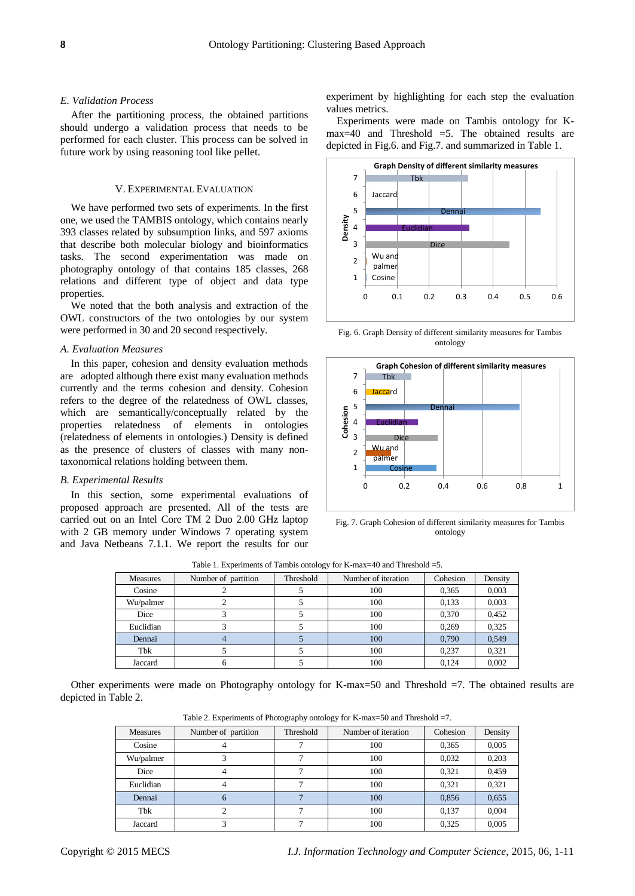# *E. Validation Process*

After the partitioning process, the obtained partitions should undergo a validation process that needs to be performed for each cluster. This process can be solved in future work by using reasoning tool like pellet.

#### V. EXPERIMENTAL EVALUATION

We have performed two sets of experiments. In the first one, we used the TAMBIS ontology, which contains nearly 393 classes related by subsumption links, and 597 axioms that describe both molecular biology and bioinformatics tasks. The second experimentation was made on photography ontology of that contains 185 classes, 268 relations and different type of object and data type properties.

We noted that the both analysis and extraction of the OWL constructors of the two ontologies by our system were performed in 30 and 20 second respectively.

# *A. Evaluation Measures*

In this paper, cohesion and density evaluation methods are adopted although there exist many evaluation methods currently and the terms cohesion and density. Cohesion refers to the degree of the relatedness of OWL classes, which are semantically/conceptually related by the properties relatedness of elements in ontologies (relatedness of elements in ontologies.) Density is defined as the presence of clusters of classes with many nontaxonomical relations holding between them.

#### *B. Experimental Results*

In this section, some experimental evaluations of proposed approach are presented. All of the tests are carried out on an Intel Core TM 2 Duo 2.00 GHz laptop with 2 GB memory under Windows 7 operating system and Java Netbeans 7.1.1. We report the results for our experiment by highlighting for each step the evaluation values metrics.

Experiments were made on Tambis ontology for Kmax=40 and Threshold =5. The obtained results are depicted in Fig.6. and Fig.7. and summarized in Table 1.



Fig. 6. Graph Density of different similarity measures for Tambis ontology



Fig. 7. Graph Cohesion of different similarity measures for Tambis ontology

| Measures  | Number of partition | Threshold | Number of iteration | Cohesion | Density |  |  |
|-----------|---------------------|-----------|---------------------|----------|---------|--|--|
| Cosine    |                     |           | 100                 | 0.365    | 0,003   |  |  |
| Wu/palmer |                     |           | 100                 | 0,133    | 0,003   |  |  |
| Dice      |                     |           | 100                 | 0,370    | 0,452   |  |  |
| Euclidian |                     |           | 100                 | 0,269    | 0,325   |  |  |
| Dennai    |                     |           | 100                 | 0.790    | 0.549   |  |  |
| Tbk       |                     |           | 100                 | 0.237    | 0.321   |  |  |
| Jaccard   |                     |           | 100                 | 0.124    | 0,002   |  |  |

Table 1. Experiments of Tambis ontology for K-max=40 and Threshold =5.

Other experiments were made on Photography ontology for K-max=50 and Threshold =7. The obtained results are depicted in Table 2.

Table 2. Experiments of Photography ontology for K-max=50 and Threshold =7.

| Measures  | Number of partition | Threshold | Number of iteration | Cohesion | Density |  |
|-----------|---------------------|-----------|---------------------|----------|---------|--|
| Cosine    |                     |           | 100                 | 0,365    | 0,005   |  |
| Wu/palmer |                     |           | 100                 | 0,032    | 0,203   |  |
| Dice      |                     |           | 100                 | 0,321    | 0,459   |  |
| Euclidian |                     |           | 100                 | 0,321    | 0,321   |  |
| Dennai    | <sub>0</sub>        |           | 100                 | 0,856    | 0,655   |  |
| Tbk       |                     |           | 100                 | 0,137    | 0,004   |  |
| Jaccard   |                     |           | 100                 | 0.325    | 0.005   |  |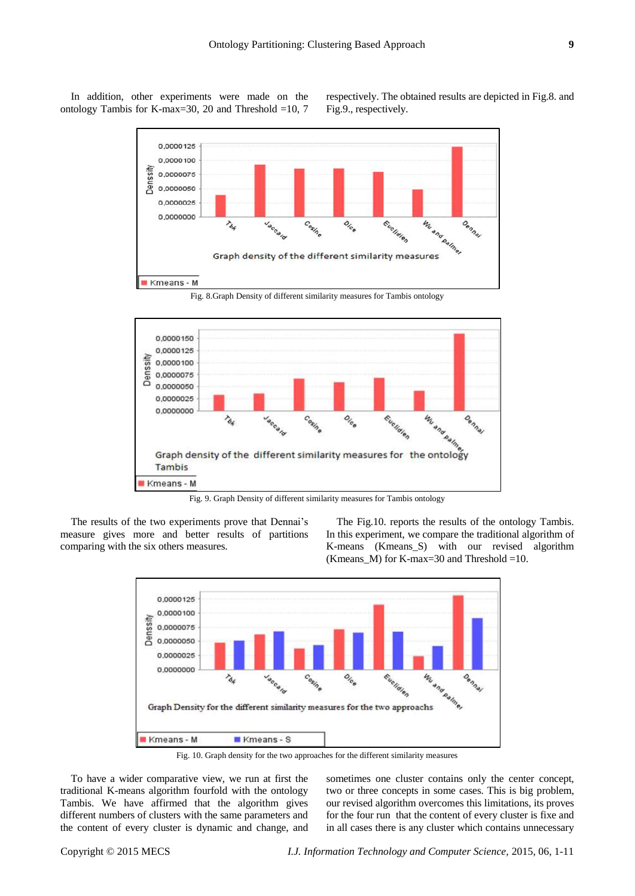In addition, other experiments were made on the ontology Tambis for K-max=30, 20 and Threshold =10, 7 respectively. The obtained results are depicted in Fig.8. and Fig.9., respectively.



Fig. 8.Graph Density of different similarity measures for Tambis ontology



Fig. 9. Graph Density of different similarity measures for Tambis ontology

The results of the two experiments prove that Dennai's measure gives more and better results of partitions comparing with the six others measures.

The Fig.10. reports the results of the ontology Tambis. In this experiment, we compare the traditional algorithm of K-means (Kmeans\_S) with our revised algorithm (Kmeans\_M) for K-max=30 and Threshold =10.



Fig. 10. Graph density for the two approaches for the different similarity measures

To have a wider comparative view, we run at first the traditional K-means algorithm fourfold with the ontology Tambis. We have affirmed that the algorithm gives different numbers of clusters with the same parameters and the content of every cluster is dynamic and change, and sometimes one cluster contains only the center concept, two or three concepts in some cases. This is big problem, our revised algorithm overcomes this limitations, its proves for the four run that the content of every cluster is fixe and in all cases there is any cluster which contains unnecessary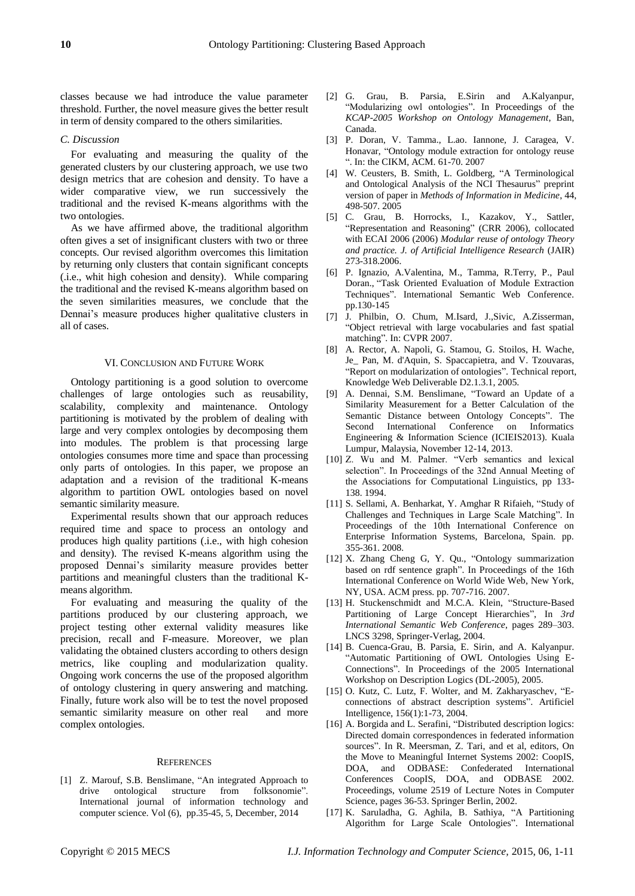classes because we had introduce the value parameter threshold. Further, the novel measure gives the better result in term of density compared to the others similarities.

# *C. Discussion*

For evaluating and measuring the quality of the generated clusters by our clustering approach, we use two design metrics that are cohesion and density. To have a wider comparative view, we run successively the traditional and the revised K-means algorithms with the two ontologies.

As we have affirmed above, the traditional algorithm often gives a set of insignificant clusters with two or three concepts. Our revised algorithm overcomes this limitation by returning only clusters that contain significant concepts (.i.e., whit high cohesion and density). While comparing the traditional and the revised K-means algorithm based on the seven similarities measures, we conclude that the Dennai's measure produces higher qualitative clusters in all of cases.

#### VI. CONCLUSION AND FUTURE WORK

Ontology partitioning is a good solution to overcome challenges of large ontologies such as reusability, scalability, complexity and maintenance. Ontology partitioning is motivated by the problem of dealing with large and very complex ontologies by decomposing them into modules. The problem is that processing large ontologies consumes more time and space than processing only parts of ontologies. In this paper, we propose an adaptation and a revision of the traditional K-means algorithm to partition OWL ontologies based on novel semantic similarity measure.

Experimental results shown that our approach reduces required time and space to process an ontology and produces high quality partitions (.i.e., with high cohesion and density). The revised K-means algorithm using the proposed Dennai's similarity measure provides better partitions and meaningful clusters than the traditional Kmeans algorithm.

For evaluating and measuring the quality of the partitions produced by our clustering approach, we project testing other external validity measures like precision, recall and F-measure. Moreover, we plan validating the obtained clusters according to others design metrics, like coupling and modularization quality. Ongoing work concerns the use of the proposed algorithm of ontology clustering in query answering and matching. Finally, future work also will be to test the novel proposed semantic similarity measure on other real and more complex ontologies.

# **REFERENCES**

[1] Z. Marouf, S.B. Benslimane, "An integrated Approach to drive ontological structure from folksonomie". International journal of information technology and computer science. Vol (6), pp.35-45, 5, December, 2014

- [2] G. Grau, B. Parsia, E.Sirin and A.Kalyanpur, "Modularizing owl ontologies". In Proceedings of the *KCAP-2005 Workshop on Ontology Management*, Ban, Canada.
- [3] P. Doran, V. Tamma., L.ao. Iannone, J. Caragea, V. Honavar, "Ontology module extraction for ontology reuse ". In: the CIKM, ACM. 61-70. 2007
- [4] W. Ceusters, B. Smith, L. Goldberg, "A Terminological and Ontological Analysis of the NCI Thesaurus" preprint version of paper in *Methods of Information in Medicine*, 44, 498-507. 2005
- [5] C. Grau, B. Horrocks, I., Kazakov, Y., Sattler, "Representation and Reasoning" (CRR 2006), collocated with ECAI 2006 (2006) *Modular reuse of ontology Theory and practice. J. of Artificial Intelligence Research* (JAIR) 273-318.2006.
- [6] P. Ignazio, A.Valentina, M., Tamma, R.Terry, P., Paul Doran., "Task Oriented Evaluation of Module Extraction Techniques". International Semantic Web Conference. pp.130-145
- [7] J. Philbin, O. Chum, M.Isard, J.,Sivic, A.Zisserman, "Object retrieval with large vocabularies and fast spatial matching". In: CVPR 2007.
- [8] A. Rector, A. Napoli, G. Stamou, G. Stoilos, H. Wache, Je\_ Pan, M. d'Aquin, S. Spaccapietra, and V. Tzouvaras, "Report on modularization of ontologies". Technical report, Knowledge Web Deliverable D2.1.3.1, 2005.
- [9] A. Dennai, S.M. Benslimane, "Toward an Update of a Similarity Measurement for a Better Calculation of the Semantic Distance between Ontology Concepts". The Second International Conference on Informatics Engineering & Information Science (ICIEIS2013). Kuala Lumpur, Malaysia, November 12-14, 2013.
- [10] Z. Wu and M. Palmer. "Verb semantics and lexical selection". In Proceedings of the 32nd Annual Meeting of the Associations for Computational Linguistics, pp 133- 138. 1994.
- [11] S. Sellami, A. Benharkat, Y. Amghar R Rifaieh, "Study of Challenges and Techniques in Large Scale Matching". In Proceedings of the 10th International Conference on Enterprise Information Systems, Barcelona, Spain. pp. 355-361. 2008.
- [12] X. Zhang Cheng G, Y. Qu., "Ontology summarization based on rdf sentence graph". In Proceedings of the 16th International Conference on World Wide Web, New York, NY, USA. ACM press. pp. 707-716. 2007.
- [13] H. Stuckenschmidt and M.C.A. Klein, "Structure-Based Partitioning of Large Concept Hierarchies", In *3rd International Semantic Web Conference*, pages 289–303. LNCS 3298, Springer-Verlag, 2004.
- [14] B. Cuenca-Grau, B. Parsia, E. Sirin, and A. Kalyanpur. "Automatic Partitioning of OWL Ontologies Using E-Connections". In Proceedings of the 2005 International Workshop on Description Logics (DL-2005), 2005.
- [15] O. Kutz, C. Lutz, F. Wolter, and M. Zakharyaschev, "Econnections of abstract description systems". Artificiel Intelligence, 156(1):1-73, 2004.
- [16] A. Borgida and L. Serafini, "Distributed description logics: Directed domain correspondences in federated information sources". In R. Meersman, Z. Tari, and et al, editors, On the Move to Meaningful Internet Systems 2002: CoopIS, DOA, and ODBASE: Confederated International Conferences CoopIS, DOA, and ODBASE 2002. Proceedings, volume 2519 of Lecture Notes in Computer Science, pages 36-53. Springer Berlin, 2002.
- [17] K. Saruladha, G. Aghila, B. Sathiya, "A Partitioning Algorithm for Large Scale Ontologies". International